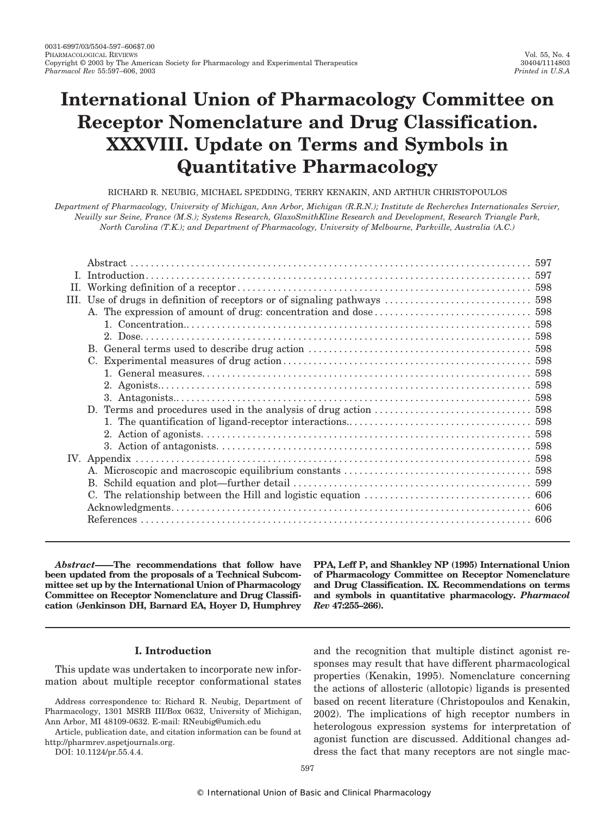# **International Union of Pharmacology Committee on Receptor Nomenclature and Drug Classification. XXXVIII. Update on Terms and Symbols in Quantitative Pharmacology**

RICHARD R. NEUBIG, MICHAEL SPEDDING, TERRY KENAKIN, AND ARTHUR CHRISTOPOULOS

*Department of Pharmacology, University of Michigan, Ann Arbor, Michigan (R.R.N.); Institute de Recherches Internationales Servier, Neuilly sur Seine, France (M.S.); Systems Research, GlaxoSmithKline Research and Development, Research Triangle Park, North Carolina (T.K.); and Department of Pharmacology, University of Melbourne, Parkville, Australia (A.C.)*

| $\mathbf{H}$ |  |
|--------------|--|
|              |  |
|              |  |
|              |  |
|              |  |
|              |  |
|              |  |
|              |  |
|              |  |
|              |  |
|              |  |
|              |  |
|              |  |
|              |  |
|              |  |
|              |  |
|              |  |
|              |  |
|              |  |
|              |  |
|              |  |

*Abstract***——The recommendations that follow have been updated from the proposals of a Technical Subcommittee set up by the International Union of Pharmacology Committee on Receptor Nomenclature and Drug Classification (Jenkinson DH, Barnard EA, Hoyer D, Humphrey** **PPA, Leff P, and Shankley NP (1995) International Union of Pharmacology Committee on Receptor Nomenclature and Drug Classification. IX. Recommendations on terms and symbols in quantitative pharmacology.** *Pharmacol Rev* **47:255–266).**

# **I. Introduction**

This update was undertaken to incorporate new information about multiple receptor conformational states

Address correspondence to: Richard R. Neubig, Department of Pharmacology, 1301 MSRB III/Box 0632, University of Michigan, Ann Arbor, MI 48109-0632. E-mail: RNeubig@umich.edu

Article, publication date, and citation information can be found at http://pharmrev.aspetjournals.org.

DOI: 10.1124/pr.55.4.4.

and the recognition that multiple distinct agonist responses may result that have different pharmacological properties (Kenakin, 1995). Nomenclature concerning the actions of allosteric (allotopic) ligands is presented based on recent literature (Christopoulos and Kenakin, 2002). The implications of high receptor numbers in heterologous expression systems for interpretation of agonist function are discussed. Additional changes address the fact that many receptors are not single mac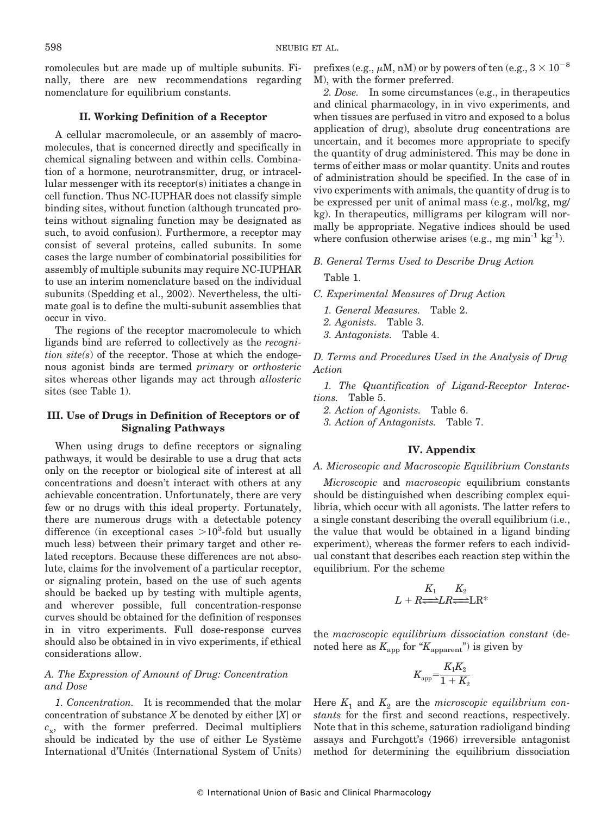romolecules but are made up of multiple subunits. Finally, there are new recommendations regarding nomenclature for equilibrium constants.

# **II. Working Definition of a Receptor**

A cellular macromolecule, or an assembly of macromolecules, that is concerned directly and specifically in chemical signaling between and within cells. Combination of a hormone, neurotransmitter, drug, or intracellular messenger with its receptor(s) initiates a change in cell function. Thus NC-IUPHAR does not classify simple binding sites, without function (although truncated proteins without signaling function may be designated as such, to avoid confusion). Furthermore, a receptor may consist of several proteins, called subunits. In some cases the large number of combinatorial possibilities for assembly of multiple subunits may require NC-IUPHAR to use an interim nomenclature based on the individual subunits (Spedding et al., 2002). Nevertheless, the ultimate goal is to define the multi-subunit assemblies that occur in vivo.

The regions of the receptor macromolecule to which ligands bind are referred to collectively as the *recognition site(s*) of the receptor. Those at which the endogenous agonist binds are termed *primary* or *orthosteric* sites whereas other ligands may act through *allosteric* sites (see Table 1).

## **III. Use of Drugs in Definition of Receptors or of Signaling Pathways**

When using drugs to define receptors or signaling pathways, it would be desirable to use a drug that acts only on the receptor or biological site of interest at all concentrations and doesn't interact with others at any achievable concentration. Unfortunately, there are very few or no drugs with this ideal property. Fortunately, there are numerous drugs with a detectable potency difference (in exceptional cases  $>10^3$ -fold but usually much less) between their primary target and other related receptors. Because these differences are not absolute, claims for the involvement of a particular receptor, or signaling protein, based on the use of such agents should be backed up by testing with multiple agents, and wherever possible, full concentration-response curves should be obtained for the definition of responses in in vitro experiments. Full dose-response curves should also be obtained in in vivo experiments, if ethical considerations allow.

# *A. The Expression of Amount of Drug: Concentration and Dose*

*1. Concentration.* It is recommended that the molar concentration of substance *X* be denoted by either [*X*] or *c*x, with the former preferred. Decimal multipliers should be indicated by the use of either Le Système International d'Unités (International System of Units)

prefixes (e.g.,  $\mu$ M, nM) or by powers of ten (e.g.,  $3 \times 10^{-8}$ M), with the former preferred.

*2. Dose.* In some circumstances (e.g., in therapeutics and clinical pharmacology, in in vivo experiments, and when tissues are perfused in vitro and exposed to a bolus application of drug), absolute drug concentrations are uncertain, and it becomes more appropriate to specify the quantity of drug administered. This may be done in terms of either mass or molar quantity. Units and routes of administration should be specified. In the case of in vivo experiments with animals, the quantity of drug is to be expressed per unit of animal mass (e.g., mol/kg, mg/ kg). In therapeutics, milligrams per kilogram will normally be appropriate. Negative indices should be used where confusion otherwise arises (e.g., mg min<sup>-1</sup> kg<sup>-1</sup>).

# *B. General Terms Used to Describe Drug Action* Table 1.

*C. Experimental Measures of Drug Action*

- *1. General Measures.* Table 2.
- *2. Agonists.* Table 3.
- *3. Antagonists.* Table 4.

*D. Terms and Procedures Used in the Analysis of Drug Action*

*1. The Quantification of Ligand-Receptor Interactions.* Table 5.

- *2. Action of Agonists.* Table 6.
- *3. Action of Antagonists.* Table 7.

#### **IV. Appendix**

#### *A. Microscopic and Macroscopic Equilibrium Constants*

*Microscopic* and *macroscopic* equilibrium constants should be distinguished when describing complex equilibria, which occur with all agonists. The latter refers to a single constant describing the overall equilibrium (i.e., the value that would be obtained in a ligand binding experiment), whereas the former refers to each individual constant that describes each reaction step within the equilibrium. For the scheme

*L* - *<sup>R</sup>*|L; *K*1 *LR*|L; *K*2 LR\*

the *macroscopic equilibrium dissociation constant* (denoted here as  $K_{\text{app}}$  for " $K_{\text{apparent}}$ ") is given by

$$
K_{\rm app} {=} \frac{K_1 K_2}{1+K_2}
$$

Here  $K_1$  and  $K_2$  are the *microscopic equilibrium constants* for the first and second reactions, respectively. Note that in this scheme, saturation radioligand binding assays and Furchgott's (1966) irreversible antagonist method for determining the equilibrium dissociation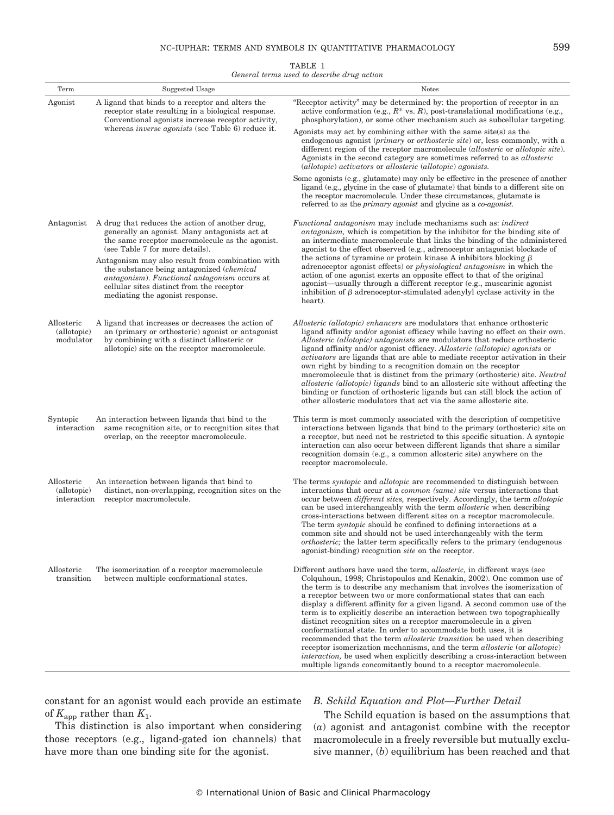#### NC-IUPHAR: TERMS AND SYMBOLS IN QUANTITATIVE PHARMACOLOGY 599

# TABLE 1

*General terms used to describe drug action*

| Term                                     | Suggested Usage                                                                                                                                                                                                               | <b>Notes</b>                                                                                                                                                                                                                                                                                                                                                                                                                                                                                                                                                                                                                                                                                                                                                                                                                                                                                                                                            |
|------------------------------------------|-------------------------------------------------------------------------------------------------------------------------------------------------------------------------------------------------------------------------------|---------------------------------------------------------------------------------------------------------------------------------------------------------------------------------------------------------------------------------------------------------------------------------------------------------------------------------------------------------------------------------------------------------------------------------------------------------------------------------------------------------------------------------------------------------------------------------------------------------------------------------------------------------------------------------------------------------------------------------------------------------------------------------------------------------------------------------------------------------------------------------------------------------------------------------------------------------|
| Agonist                                  | A ligand that binds to a receptor and alters the<br>receptor state resulting in a biological response.<br>Conventional agonists increase receptor activity,                                                                   | "Receptor activity" may be determined by: the proportion of receptor in an<br>active conformation (e.g., $R^*$ vs. R), post-translational modifications (e.g.,<br>phosphorylation), or some other mechanism such as subcellular targeting.                                                                                                                                                                                                                                                                                                                                                                                                                                                                                                                                                                                                                                                                                                              |
|                                          | whereas <i>inverse agonists</i> (see Table 6) reduce it.                                                                                                                                                                      | Agonists may act by combining either with the same site(s) as the<br>endogenous agonist ( <i>primary</i> or <i>orthosteric site</i> ) or, less commonly, with a<br>different region of the receptor macromolecule (allosteric or allotopic site).<br>Agonists in the second category are sometimes referred to as <i>allosteric</i><br>(allotopic) activators or allosteric (allotopic) agonists.                                                                                                                                                                                                                                                                                                                                                                                                                                                                                                                                                       |
|                                          |                                                                                                                                                                                                                               | Some agonists (e.g., glutamate) may only be effective in the presence of another<br>ligand (e.g., glycine in the case of glutamate) that binds to a different site on<br>the receptor macromolecule. Under these circumstances, glutamate is<br>referred to as the <i>primary agonist</i> and glycine as a <i>co-agonist</i> .                                                                                                                                                                                                                                                                                                                                                                                                                                                                                                                                                                                                                          |
| Antagonist                               | A drug that reduces the action of another drug,<br>generally an agonist. Many antagonists act at<br>the same receptor macromolecule as the agonist.<br>(see Table 7 for more details).                                        | <i>Functional antagonism</i> may include mechanisms such as: <i>indirect</i><br>antagonism, which is competition by the inhibitor for the binding site of<br>an intermediate macromolecule that links the binding of the administered<br>agonist to the effect observed (e.g., adrenoceptor antagonist blockade of                                                                                                                                                                                                                                                                                                                                                                                                                                                                                                                                                                                                                                      |
|                                          | Antagonism may also result from combination with<br>the substance being antagonized (chemical<br>antagonism). Functional antagonism occurs at<br>cellular sites distinct from the receptor<br>mediating the agonist response. | the actions of tyramine or protein kinase A inhibitors blocking $\beta$<br>adrenoceptor agonist effects) or <i>physiological antagonism</i> in which the<br>action of one agonist exerts an opposite effect to that of the original<br>agonist—usually through a different receptor (e.g., muscarinic agonist<br>inhibition of $\beta$ adrenoeptor-stimulated adenylyl cyclase activity in the<br>heart).                                                                                                                                                                                                                                                                                                                                                                                                                                                                                                                                               |
| Allosteric<br>(allotopic)<br>modulator   | A ligand that increases or decreases the action of<br>an (primary or orthosteric) agonist or antagonist<br>by combining with a distinct (allosteric or<br>allotopic) site on the receptor macromolecule.                      | <i>Allosteric (allotopic) enhancers</i> are modulators that enhance orthosteric<br>ligand affinity and/or agonist efficacy while having no effect on their own.<br>Allosteric (allotopic) antagonists are modulators that reduce orthosteric<br>ligand affinity and/or agonist efficacy. Allosteric (allotopic) agonists or<br><i>activators</i> are ligands that are able to mediate receptor activation in their<br>own right by binding to a recognition domain on the receptor<br>macromolecule that is distinct from the primary (orthosteric) site. Neutral<br>allosteric (allotopic) ligands bind to an allosteric site without affecting the<br>binding or function of orthosteric ligands but can still block the action of<br>other allosteric modulators that act via the same allosteric site.                                                                                                                                              |
| Syntopic<br>interaction                  | An interaction between ligands that bind to the<br>same recognition site, or to recognition sites that<br>overlap, on the receptor macromolecule.                                                                             | This term is most commonly associated with the description of competitive<br>interactions between ligands that bind to the primary (orthosteric) site on<br>a receptor, but need not be restricted to this specific situation. A syntopic<br>interaction can also occur between different ligands that share a similar<br>recognition domain (e.g., a common allosteric site) anywhere on the<br>receptor macromolecule.                                                                                                                                                                                                                                                                                                                                                                                                                                                                                                                                |
| Allosteric<br>(allotopic)<br>interaction | An interaction between ligands that bind to<br>distinct, non-overlapping, recognition sites on the<br>receptor macromolecule.                                                                                                 | The terms <i>syntopic</i> and <i>allotopic</i> are recommended to distinguish between<br>interactions that occur at a <i>common (same)</i> site versus interactions that<br>occur between <i>different sites</i> , respectively. Accordingly, the term <i>allotopic</i><br>can be used interchangeably with the term <i>allosteric</i> when describing<br>cross-interactions between different sites on a receptor macromolecule.<br>The term <i>syntopic</i> should be confined to defining interactions at a<br>common site and should not be used interchangeably with the term<br><i>orthosteric</i> ; the latter term specifically refers to the primary (endogenous<br>agonist-binding) recognition <i>site</i> on the receptor.                                                                                                                                                                                                                  |
| Allosteric<br>transition                 | The isomerization of a receptor macromolecule<br>between multiple conformational states.                                                                                                                                      | Different authors have used the term, <i>allosteric</i> , in different ways (see<br>Colquhoun, 1998; Christopoulos and Kenakin, 2002). One common use of<br>the term is to describe any mechanism that involves the isomerization of<br>a receptor between two or more conformational states that can each<br>display a different affinity for a given ligand. A second common use of the<br>term is to explicitly describe an interaction between two topographically<br>distinct recognition sites on a receptor macromolecule in a given<br>conformational state. In order to accommodate both uses, it is<br>recommended that the term <i>allosteric transition</i> be used when describing<br>receptor isomerization mechanisms, and the term <i>allosteric</i> (or <i>allotopic</i> )<br><i>interaction</i> , be used when explicitly describing a cross-interaction between<br>multiple ligands concomitantly bound to a receptor macromolecule. |

constant for an agonist would each provide an estimate of  $K_{\text{app}}$  rather than  $K_1$ .

This distinction is also important when considering those receptors (e.g., ligand-gated ion channels) that have more than one binding site for the agonist.

## *B. Schild Equation and Plot—Further Detail*

The Schild equation is based on the assumptions that (*a*) agonist and antagonist combine with the receptor macromolecule in a freely reversible but mutually exclusive manner, (*b*) equilibrium has been reached and that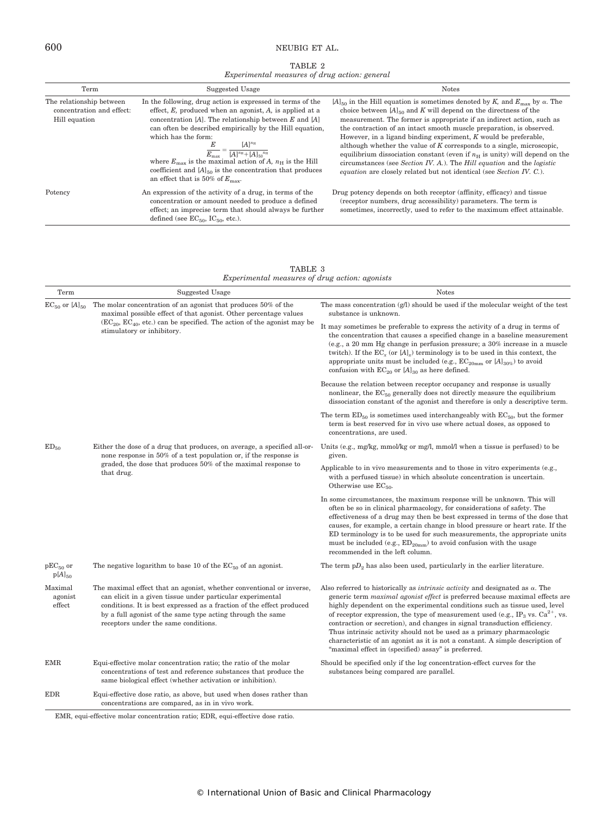# 600 NEUBIG ET AL.

#### TABLE 2

*Experimental measures of drug action: general*

| Term                                                                   | Suggested Usage                                                                                                                                                                                                                                                                                                                                                                                                                                                                                                                                                                   | <b>Notes</b>                                                                                                                                                                                                                                                                                                                                                                                                                                                                                                                                                                                                                                                                                                 |
|------------------------------------------------------------------------|-----------------------------------------------------------------------------------------------------------------------------------------------------------------------------------------------------------------------------------------------------------------------------------------------------------------------------------------------------------------------------------------------------------------------------------------------------------------------------------------------------------------------------------------------------------------------------------|--------------------------------------------------------------------------------------------------------------------------------------------------------------------------------------------------------------------------------------------------------------------------------------------------------------------------------------------------------------------------------------------------------------------------------------------------------------------------------------------------------------------------------------------------------------------------------------------------------------------------------------------------------------------------------------------------------------|
| The relationship between<br>concentration and effect:<br>Hill equation | In the following, drug action is expressed in terms of the<br>effect, $E$ , produced when an agonist, $A$ , is applied at a<br>concentration [A]. The relationship between $E$ and [A]<br>can often be described empirically by the Hill equation,<br>which has the form:<br>$[A]^{n_H}$<br>$\frac{E}{E_{\max}} = \frac{ A ^{\max}}{[A]^{{n_{\rm H}}} + [A]^{{n_{\rm H}}}_{50}}$<br>where $E_{\text{max}}$ is the maximal action of A, $n_{\text{H}}$ is the Hill<br>coefficient and $[A]_{50}$ is the concentration that produces<br>an effect that is 50% of $E_{\text{max}}$ . | $[A]_{50}$ in the Hill equation is sometimes denoted by K, and $E_{\text{max}}$ by $\alpha$ . The<br>choice between $[A]_{50}$ and K will depend on the directness of the<br>measurement. The former is appropriate if an indirect action, such as<br>the contraction of an intact smooth muscle preparation, is observed.<br>However, in a ligand binding experiment, $K$ would be preferable,<br>although whether the value of $K$ corresponds to a single, microscopic,<br>equilibrium dissociation constant (even if $nH$ is unity) will depend on the<br>circumstances (see Section IV, A.). The Hill equation and the logistic<br>equation are closely related but not identical (see Section IV. C.). |
| Potency                                                                | An expression of the activity of a drug, in terms of the<br>concentration or amount needed to produce a defined<br>effect; an imprecise term that should always be further<br>defined (see $EC_{50}$ , $IC_{50}$ , etc.).                                                                                                                                                                                                                                                                                                                                                         | Drug potency depends on both receptor (affinity, efficacy) and tissue<br>(receptor numbers, drug accessibility) parameters. The term is<br>sometimes, incorrectly, used to refer to the maximum effect attainable.                                                                                                                                                                                                                                                                                                                                                                                                                                                                                           |

| TABLE 3                                        |  |  |  |  |
|------------------------------------------------|--|--|--|--|
| Experimental measures of drug action: agonists |  |  |  |  |

| Term                           | <b>Suggested Usage</b>                                                                                                                                                                                                                                                                                            | <b>Notes</b>                                                                                                                                                                                                                                                                                                                                                                                                                                                                                                                                                                                                                                                      |
|--------------------------------|-------------------------------------------------------------------------------------------------------------------------------------------------------------------------------------------------------------------------------------------------------------------------------------------------------------------|-------------------------------------------------------------------------------------------------------------------------------------------------------------------------------------------------------------------------------------------------------------------------------------------------------------------------------------------------------------------------------------------------------------------------------------------------------------------------------------------------------------------------------------------------------------------------------------------------------------------------------------------------------------------|
| $EC_{50}$ or [A] <sub>50</sub> | The molar concentration of an agonist that produces 50% of the<br>maximal possible effect of that agonist. Other percentage values<br>$(EC_{20}, EC_{40}, etc.)$ can be specified. The action of the agonist may be<br>stimulatory or inhibitory.                                                                 | The mass concentration $(g/1)$ should be used if the molecular weight of the test<br>substance is unknown.                                                                                                                                                                                                                                                                                                                                                                                                                                                                                                                                                        |
|                                |                                                                                                                                                                                                                                                                                                                   | It may sometimes be preferable to express the activity of a drug in terms of<br>the concentration that causes a specified change in a baseline measurement<br>(e.g., a 20 mm Hg change in perfusion pressure; a 30% increase in a muscle<br>twitch). If the $EC_x$ (or $[A]_x$ ) terminology is to be used in this context, the<br>appropriate units must be included (e.g., $EC_{20mm}$ or $[A]_{30\%}$ ) to avoid<br>confusion with $EC_{20}$ or $[A]_{30}$ as here defined.                                                                                                                                                                                    |
|                                |                                                                                                                                                                                                                                                                                                                   | Because the relation between receptor occupancy and response is usually<br>nonlinear, the $EC_{50}$ generally does not directly measure the equilibrium<br>dissociation constant of the agonist and therefore is only a descriptive term.                                                                                                                                                                                                                                                                                                                                                                                                                         |
|                                |                                                                                                                                                                                                                                                                                                                   | The term $ED_{50}$ is sometimes used interchangeably with $EC_{50}$ , but the former<br>term is best reserved for in vivo use where actual doses, as opposed to<br>concentrations, are used.                                                                                                                                                                                                                                                                                                                                                                                                                                                                      |
| $ED_{50}$                      | Either the dose of a drug that produces, on average, a specified all-or-<br>none response in 50% of a test population or, if the response is<br>graded, the dose that produces 50% of the maximal response to<br>that drug.                                                                                       | Units (e.g., mg/kg, mmol/kg or mg/l, mmol/l when a tissue is perfused) to be<br>given.                                                                                                                                                                                                                                                                                                                                                                                                                                                                                                                                                                            |
|                                |                                                                                                                                                                                                                                                                                                                   | Applicable to in vivo measurements and to those in vitro experiments (e.g.,<br>with a perfused tissue) in which absolute concentration is uncertain.<br>Otherwise use $EC_{50}$ .                                                                                                                                                                                                                                                                                                                                                                                                                                                                                 |
|                                |                                                                                                                                                                                                                                                                                                                   | In some circumstances, the maximum response will be unknown. This will<br>often be so in clinical pharmacology, for considerations of safety. The<br>effectiveness of a drug may then be best expressed in terms of the dose that<br>causes, for example, a certain change in blood pressure or heart rate. If the<br>ED terminology is to be used for such measurements, the appropriate units<br>must be included (e.g., $ED_{20mm}$ ) to avoid confusion with the usage<br>recommended in the left column.                                                                                                                                                     |
| $pEC_{50}$ or<br>$p[A]_{50}$   | The negative logarithm to base 10 of the $EC_{50}$ of an agonist.                                                                                                                                                                                                                                                 | The term $pD_2$ has also been used, particularly in the earlier literature.                                                                                                                                                                                                                                                                                                                                                                                                                                                                                                                                                                                       |
| Maximal<br>agonist<br>effect   | The maximal effect that an agonist, whether conventional or inverse,<br>can elicit in a given tissue under particular experimental<br>conditions. It is best expressed as a fraction of the effect produced<br>by a full agonist of the same type acting through the same<br>receptors under the same conditions. | Also referred to historically as <i>intrinsic activity</i> and designated as $\alpha$ . The<br>generic term <i>maximal agonist effect</i> is preferred because maximal effects are<br>highly dependent on the experimental conditions such as tissue used, level<br>of receptor expression, the type of measurement used (e.g., IP <sub>3</sub> vs. $Ca^{2+}$ , vs.<br>contraction or secretion), and changes in signal transduction efficiency.<br>Thus intrinsic activity should not be used as a primary pharmacologic<br>characteristic of an agonist as it is not a constant. A simple description of<br>"maximal effect in (specified) assay" is preferred. |
| <b>EMR</b>                     | Equi-effective molar concentration ratio; the ratio of the molar<br>concentrations of test and reference substances that produce the<br>same biological effect (whether activation or inhibition).                                                                                                                | Should be specified only if the log concentration-effect curves for the<br>substances being compared are parallel.                                                                                                                                                                                                                                                                                                                                                                                                                                                                                                                                                |
| <b>EDR</b>                     | Equi-effective dose ratio, as above, but used when doses rather than<br>concentrations are compared, as in in vivo work.                                                                                                                                                                                          |                                                                                                                                                                                                                                                                                                                                                                                                                                                                                                                                                                                                                                                                   |

EMR, equi-effective molar concentration ratio; EDR, equi-effective dose ratio.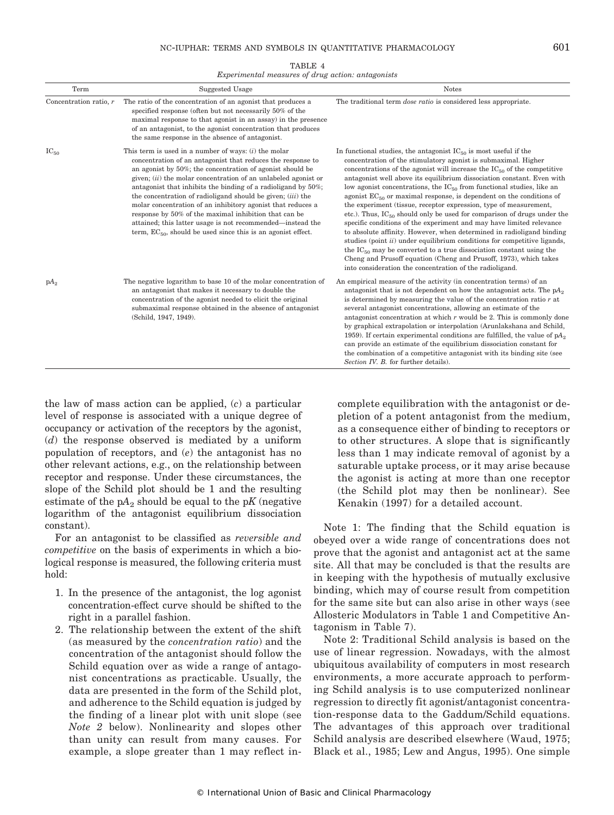|--|--|

*Experimental measures of drug action: antagonists*

| Term                   | Suggested Usage                                                                                                                                                                                                                                                                                                                                                                                                                                                                                                                                                                                                                                          | <b>Notes</b>                                                                                                                                                                                                                                                                                                                                                                                                                                                                                                                                                                                                                                                                                                                                                                                                                                                                                                                                                                                                                                                  |
|------------------------|----------------------------------------------------------------------------------------------------------------------------------------------------------------------------------------------------------------------------------------------------------------------------------------------------------------------------------------------------------------------------------------------------------------------------------------------------------------------------------------------------------------------------------------------------------------------------------------------------------------------------------------------------------|---------------------------------------------------------------------------------------------------------------------------------------------------------------------------------------------------------------------------------------------------------------------------------------------------------------------------------------------------------------------------------------------------------------------------------------------------------------------------------------------------------------------------------------------------------------------------------------------------------------------------------------------------------------------------------------------------------------------------------------------------------------------------------------------------------------------------------------------------------------------------------------------------------------------------------------------------------------------------------------------------------------------------------------------------------------|
| Concentration ratio, r | The ratio of the concentration of an agonist that produces a<br>specified response (often but not necessarily 50% of the<br>maximal response to that agonist in an assay) in the presence<br>of an antagonist, to the agonist concentration that produces<br>the same response in the absence of antagonist.                                                                                                                                                                                                                                                                                                                                             | The traditional term <i>dose ratio</i> is considered less appropriate.                                                                                                                                                                                                                                                                                                                                                                                                                                                                                                                                                                                                                                                                                                                                                                                                                                                                                                                                                                                        |
| $IC_{50}$              | This term is used in a number of ways: $(i)$ the molar<br>concentration of an antagonist that reduces the response to<br>an agonist by 50%; the concentration of agonist should be<br>given; $(ii)$ the molar concentration of an unlabeled agonist or<br>antagonist that inhibits the binding of a radioligand by 50%;<br>the concentration of radioligand should be given; <i>(iii)</i> the<br>molar concentration of an inhibitory agonist that reduces a<br>response by 50% of the maximal inhibition that can be<br>attained; this latter usage is not recommended—instead the<br>term, $EC_{50}$ , should be used since this is an agonist effect. | In functional studies, the antagonist $IC_{50}$ is most useful if the<br>concentration of the stimulatory agonist is submaximal. Higher<br>concentrations of the agonist will increase the $IC_{50}$ of the competitive<br>antagonist well above its equilibrium dissociation constant. Even with<br>low agonist concentrations, the $IC_{50}$ from functional studies, like an<br>agonist $EC_{50}$ or maximal response, is dependent on the conditions of<br>the experiment (tissue, receptor expression, type of measurement,<br>etc.). Thus, $IC_{50}$ should only be used for comparison of drugs under the<br>specific conditions of the experiment and may have limited relevance<br>to absolute affinity. However, when determined in radioligand binding<br>studies (point $ii$ ) under equilibrium conditions for competitive ligands,<br>the $IC_{50}$ may be converted to a true dissociation constant using the<br>Cheng and Prusoff equation (Cheng and Prusoff, 1973), which takes<br>into consideration the concentration of the radioligand. |
| $pA_2$                 | The negative logarithm to base 10 of the molar concentration of<br>an antagonist that makes it necessary to double the<br>concentration of the agonist needed to elicit the original<br>submaximal response obtained in the absence of antagonist<br>(Schild, 1947, 1949).                                                                                                                                                                                                                                                                                                                                                                               | An empirical measure of the activity (in concentration terms) of an<br>antagonist that is not dependent on how the antagonist acts. The $pA_2$<br>is determined by measuring the value of the concentration ratio $r$ at<br>several antagonist concentrations, allowing an estimate of the<br>antagonist concentration at which $r$ would be 2. This is commonly done<br>by graphical extrapolation or interpolation (Arunlakshana and Schild,<br>1959). If certain experimental conditions are fulfilled, the value of $pA_2$<br>can provide an estimate of the equilibrium dissociation constant for<br>the combination of a competitive antagonist with its binding site (see<br>Section IV. B. for further details).                                                                                                                                                                                                                                                                                                                                      |

the law of mass action can be applied, (*c*) a particular level of response is associated with a unique degree of occupancy or activation of the receptors by the agonist, (*d*) the response observed is mediated by a uniform population of receptors, and (*e*) the antagonist has no other relevant actions, e.g., on the relationship between receptor and response. Under these circumstances, the slope of the Schild plot should be 1 and the resulting estimate of the  $pA_2$  should be equal to the  $pK$  (negative logarithm of the antagonist equilibrium dissociation constant).

For an antagonist to be classified as *reversible and competitive* on the basis of experiments in which a biological response is measured, the following criteria must hold:

- 1. In the presence of the antagonist, the log agonist concentration-effect curve should be shifted to the right in a parallel fashion.
- 2. The relationship between the extent of the shift (as measured by the *concentration ratio*) and the concentration of the antagonist should follow the Schild equation over as wide a range of antagonist concentrations as practicable. Usually, the data are presented in the form of the Schild plot, and adherence to the Schild equation is judged by the finding of a linear plot with unit slope (see *Note 2* below). Nonlinearity and slopes other than unity can result from many causes. For example, a slope greater than 1 may reflect in-

complete equilibration with the antagonist or depletion of a potent antagonist from the medium, as a consequence either of binding to receptors or to other structures. A slope that is significantly less than 1 may indicate removal of agonist by a saturable uptake process, or it may arise because the agonist is acting at more than one receptor (the Schild plot may then be nonlinear). See Kenakin (1997) for a detailed account.

Note 1: The finding that the Schild equation is obeyed over a wide range of concentrations does not prove that the agonist and antagonist act at the same site. All that may be concluded is that the results are in keeping with the hypothesis of mutually exclusive binding, which may of course result from competition for the same site but can also arise in other ways (see Allosteric Modulators in Table 1 and Competitive Antagonism in Table 7).

Note 2: Traditional Schild analysis is based on the use of linear regression. Nowadays, with the almost ubiquitous availability of computers in most research environments, a more accurate approach to performing Schild analysis is to use computerized nonlinear regression to directly fit agonist/antagonist concentration-response data to the Gaddum/Schild equations. The advantages of this approach over traditional Schild analysis are described elsewhere (Waud, 1975; Black et al., 1985; Lew and Angus, 1995). One simple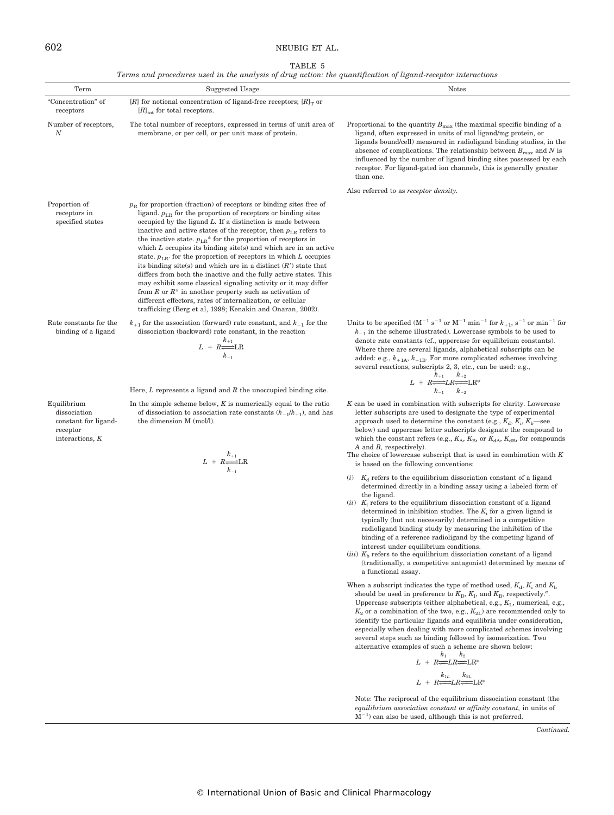#### 602 NEUBIG ET AL.

#### TABLE 5

*Terms and procedures used in the analysis of drug action: the quantification of ligand-receptor interactions*

| Term                                              | <b>Suggested Usage</b>                                                                                                                                                                                                                                                                                                                                                                                                                                                                                                                                                                                                                                                                                                                                                                                                                                                                                                   | <b>Notes</b>                                                                                                                                                                                                                                                                                                                                                                                                                                                                                                                                                                                                                           |
|---------------------------------------------------|--------------------------------------------------------------------------------------------------------------------------------------------------------------------------------------------------------------------------------------------------------------------------------------------------------------------------------------------------------------------------------------------------------------------------------------------------------------------------------------------------------------------------------------------------------------------------------------------------------------------------------------------------------------------------------------------------------------------------------------------------------------------------------------------------------------------------------------------------------------------------------------------------------------------------|----------------------------------------------------------------------------------------------------------------------------------------------------------------------------------------------------------------------------------------------------------------------------------------------------------------------------------------------------------------------------------------------------------------------------------------------------------------------------------------------------------------------------------------------------------------------------------------------------------------------------------------|
| "Concentration" of<br>receptors                   | [R] for notional concentration of ligand-free receptors; $[R]_T$ or<br>$[R]_{\text{tot}}$ for total receptors.                                                                                                                                                                                                                                                                                                                                                                                                                                                                                                                                                                                                                                                                                                                                                                                                           |                                                                                                                                                                                                                                                                                                                                                                                                                                                                                                                                                                                                                                        |
| Number of receptors,<br>$\boldsymbol{N}$          | The total number of receptors, expressed in terms of unit area of<br>membrane, or per cell, or per unit mass of protein.                                                                                                                                                                                                                                                                                                                                                                                                                                                                                                                                                                                                                                                                                                                                                                                                 | Proportional to the quantity $B_{\text{max}}$ (the maximal specific binding of a<br>ligand, often expressed in units of mol ligand/mg protein, or<br>ligands bound/cell) measured in radioligand binding studies, in the<br>absence of complications. The relationship between $B_{\text{max}}$ and N is<br>influenced by the number of ligand binding sites possessed by each<br>receptor. For ligand-gated ion channels, this is generally greater<br>than one.                                                                                                                                                                      |
|                                                   |                                                                                                                                                                                                                                                                                                                                                                                                                                                                                                                                                                                                                                                                                                                                                                                                                                                                                                                          | Also referred to as receptor density.                                                                                                                                                                                                                                                                                                                                                                                                                                                                                                                                                                                                  |
| Proportion of<br>receptors in<br>specified states | $p_{\rm B}$ for proportion (fraction) of receptors or binding sites free of<br>ligand. $p_{LR}$ for the proportion of receptors or binding sites<br>occupied by the ligand $L$ . If a distinction is made between<br>inactive and active states of the receptor, then $p_{LR}$ refers to<br>the inactive state. $p_{LR}$ <sup>*</sup> for the proportion of receptors in<br>which $L$ occupies its binding site(s) and which are in an active<br>state. $p_{LR'}$ for the proportion of receptors in which L occupies<br>its binding site(s) and which are in a distinct $(R')$ state that<br>differs from both the inactive and the fully active states. This<br>may exhibit some classical signaling activity or it may differ<br>from R or $R^*$ in another property such as activation of<br>different effectors, rates of internalization, or cellular<br>trafficking (Berg et al, 1998; Kenakin and Onaran, 2002). |                                                                                                                                                                                                                                                                                                                                                                                                                                                                                                                                                                                                                                        |
| Rate constants for the<br>binding of a ligand     | $k_{+1}$ for the association (forward) rate constant, and $k_{-1}$ for the<br>dissociation (backward) rate constant, in the reaction<br>$k_{+1}$<br>$L + R \rightleftharpoons L R$<br>$k_{-1}$                                                                                                                                                                                                                                                                                                                                                                                                                                                                                                                                                                                                                                                                                                                           | Units to be specified $(M^{-1} s^{-1} \text{ or } M^{-1} \text{ min}^{-1} \text{ for } k_{+1}, s^{-1} \text{ or } \text{min}^{-1} \text{ for }$<br>$k_{-1}$ in the scheme illustrated). Lowercase symbols to be used to<br>denote rate constants (cf., uppercase for equilibrium constants).<br>Where there are several ligands, alphabetical subscripts can be<br>added: e.g., $k_{+1A}$ , $k_{-1B}$ . For more complicated schemes involving<br>several reactions, subscripts 2, 3, etc., can be used: e.g.,<br>$L\ +\ R{\overset{k_{+1}}{\overbrace{\longleftarrow}}}\ L R{\overset{k_{+2}}{\overbrace{\longleftarrow}}}\text{LR*}$ |
|                                                   | Here, $L$ represents a ligand and $R$ the unoccupied binding site.                                                                                                                                                                                                                                                                                                                                                                                                                                                                                                                                                                                                                                                                                                                                                                                                                                                       | $k_{-1}$<br>$k_{-2}$                                                                                                                                                                                                                                                                                                                                                                                                                                                                                                                                                                                                                   |

- *K* can be used in combination with subscripts for clarity. Lowercase letter subscripts are used to designate the type of experimental approach used to determine the constant (e.g.,  $K_{\rm d}$ ,  $K_{\rm i}$ ,  $K_{\rm b}$ —see below) and uppercase letter subscripts designate the compound to which the constant refers (e.g.,  $K_A$ ,  $K_B$ , or  $K_{dA}$ ,  $K_{dB}$ , for compounds *A* and *B,* respectively).
	- The choice of lowercase subscript that is used in combination with *K* is based on the following conventions:
	- $(i)$   $K_d$  refers to the equilibrium dissociation constant of a ligand determined directly in a binding assay using a labeled form of the ligand.
	- (*ii*) *K*<sup>i</sup> refers to the equilibrium dissociation constant of a ligand determined in inhibition studies. The *K*<sup>i</sup> for a given ligand is typically (but not necessarily) determined in a competitive radioligand binding study by measuring the inhibition of the binding of a reference radioligand by the competing ligand of interest under equilibrium conditions.
	- $(iii)$   $K<sub>b</sub>$  refers to the equilibrium dissociation constant of a ligand (traditionally, a competitive antagonist) determined by means of a functional assay.
	- When a subscript indicates the type of method used,  $K_d$ ,  $K_i$  and  $K_b$ should be used in preference to  $K_{\text{D}}$ ,  $K_{\text{I}}$ , and  $K_{\text{B}}$ , respectively.<sup>*a*</sup>. Uppercase subscripts (either alphabetical, e.g., *K*L, numerical, e.g.,  $K_2$  or a combination of the two, e.g.,  $K_{2L}$ ) are recommended only to identify the particular ligands and equilibria under consideration, especially when dealing with more complicated schemes involving several steps such as binding followed by isomerization. Two alternative examples of such a scheme are shown below:  $k<sub>1</sub>$  $\mathbf{z}$

$$
L + R \stackrel{h_1}{\longrightarrow} LR \stackrel{h_2}{\longrightarrow} LR^*
$$

$$
L + R \stackrel{h_{1L}}{\longrightarrow} LR \stackrel{h_{2L}}{\longrightarrow} LR^*
$$

Note: The reciprocal of the equilibrium dissociation constant (the *equilibrium association constant* or *affinity constant,* in units of  $M^{-1}$ ) can also be used, although this is not preferred.

*Continued.*

In the simple scheme below, *K* is numerically equal to the ratio of dissociation to association rate constants  $(k_{-1}/k_{+1})$ , and has the dimension M (mol/l).

$$
L\ +\ R{\dfrac{k_{+1}}{k_{-1}}}\text{LR}
$$

Equilibrium dissociation constant for ligandreceptor interactions, *K*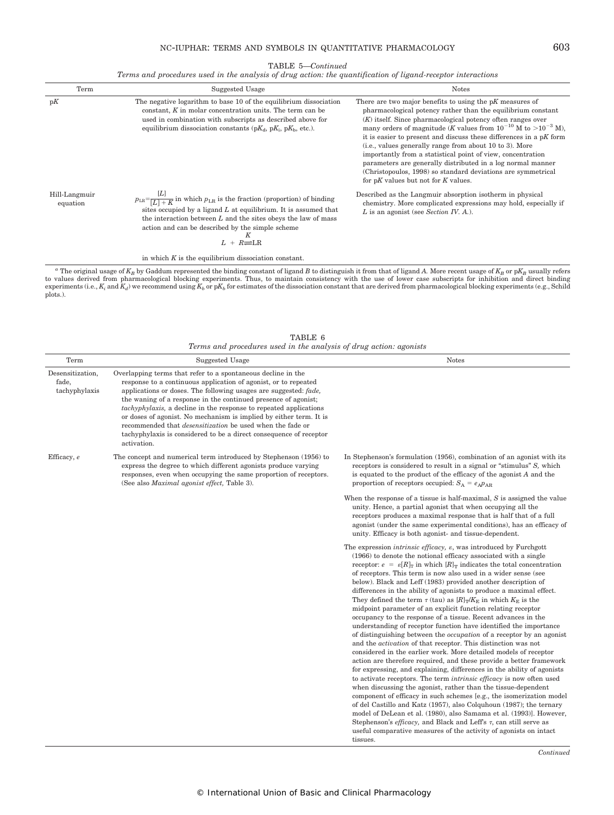## NC-IUPHAR: TERMS AND SYMBOLS IN QUANTITATIVE PHARMACOLOGY 603

TABLE 5—*Continued*

*Terms and procedures used in the analysis of drug action: the quantification of ligand-receptor interactions*

| Term                      | Suggested Usage                                                                                                                                                                                                                                                                                                       | <b>Notes</b>                                                                                                                                                                                                                                                                                                                                                                                                                                                                                                                                                                                                                                  |
|---------------------------|-----------------------------------------------------------------------------------------------------------------------------------------------------------------------------------------------------------------------------------------------------------------------------------------------------------------------|-----------------------------------------------------------------------------------------------------------------------------------------------------------------------------------------------------------------------------------------------------------------------------------------------------------------------------------------------------------------------------------------------------------------------------------------------------------------------------------------------------------------------------------------------------------------------------------------------------------------------------------------------|
| pK                        | The negative logarithm to base 10 of the equilibrium dissociation<br>constant, $K$ in molar concentration units. The term can be<br>used in combination with subscripts as described above for<br>equilibrium dissociation constants ( $pK_d$ , $pK_i$ , $pK_b$ , etc.).                                              | There are two major benefits to using the pK measures of<br>pharmacological potency rather than the equilibrium constant<br>$(K)$ itself. Since pharmacological potency often ranges over<br>many orders of magnitude (K values from $10^{-10}$ M to $>10^{-3}$ M),<br>it is easier to present and discuss these differences in a $pK$ form<br>(i.e., values generally range from about 10 to 3). More<br>importantly from a statistical point of view, concentration<br>parameters are generally distributed in a log normal manner<br>(Christopoulos, 1998) so standard deviations are symmetrical<br>for $pK$ values but not for K values. |
| Hill-Langmuir<br>equation | $p_{LR} = \frac{ L }{ L  + K}$ in which $p_{LR}$ is the fraction (proportion) of binding<br>sites occupied by a ligand $L$ at equilibrium. It is assumed that<br>the interaction between $L$ and the sites obeys the law of mass<br>action and can be described by the simple scheme<br>$L + R \rightleftharpoons LR$ | Described as the Langmuir absorption isotherm in physical<br>chemistry. More complicated expressions may hold, especially if<br>$L$ is an agonist (see Section IV, A.).                                                                                                                                                                                                                                                                                                                                                                                                                                                                       |
|                           | in which $K$ is the equilibrium dissociation constant.                                                                                                                                                                                                                                                                |                                                                                                                                                                                                                                                                                                                                                                                                                                                                                                                                                                                                                                               |

<sup>a</sup> The original usage of  $K_B$  by Gaddum represented the binding constant of ligand B to distinguish it from that of ligand A. More recent usage of  $K_B$  or  $pK_B$  usually refers to values derived from pharmacological block plots.).

| TABLE 6                                                            |  |  |  |  |  |
|--------------------------------------------------------------------|--|--|--|--|--|
| Terms and procedures used in the analysis of drug action: agonists |  |  |  |  |  |

| Term                                       | Suggested Usage                                                                                                                                                                                                                                                                                                                                                                                                                                                                                                                                                           | <b>Notes</b>                                                                                                                                                                                                                                                                                                                                                                                                                                                                                                                                                                                                                                                                                                                                                                                                                                                                                                                                                                                                                                                                                                                                                                                                                                                                                                                                                                                                                                                                                                                                                                                                                                                                                 |
|--------------------------------------------|---------------------------------------------------------------------------------------------------------------------------------------------------------------------------------------------------------------------------------------------------------------------------------------------------------------------------------------------------------------------------------------------------------------------------------------------------------------------------------------------------------------------------------------------------------------------------|----------------------------------------------------------------------------------------------------------------------------------------------------------------------------------------------------------------------------------------------------------------------------------------------------------------------------------------------------------------------------------------------------------------------------------------------------------------------------------------------------------------------------------------------------------------------------------------------------------------------------------------------------------------------------------------------------------------------------------------------------------------------------------------------------------------------------------------------------------------------------------------------------------------------------------------------------------------------------------------------------------------------------------------------------------------------------------------------------------------------------------------------------------------------------------------------------------------------------------------------------------------------------------------------------------------------------------------------------------------------------------------------------------------------------------------------------------------------------------------------------------------------------------------------------------------------------------------------------------------------------------------------------------------------------------------------|
| Desensitization,<br>fade,<br>tachyphylaxis | Overlapping terms that refer to a spontaneous decline in the<br>response to a continuous application of agonist, or to repeated<br>applications or doses. The following usages are suggested: fade,<br>the waning of a response in the continued presence of agonist;<br>tachyphylaxis, a decline in the response to repeated applications<br>or doses of agonist. No mechanism is implied by either term. It is<br>recommended that <i>desensitization</i> be used when the fade or<br>tachyphylaxis is considered to be a direct consequence of receptor<br>activation. |                                                                                                                                                                                                                                                                                                                                                                                                                                                                                                                                                                                                                                                                                                                                                                                                                                                                                                                                                                                                                                                                                                                                                                                                                                                                                                                                                                                                                                                                                                                                                                                                                                                                                              |
| Efficacy, e                                | The concept and numerical term introduced by Stephenson (1956) to<br>express the degree to which different agonists produce varying<br>responses, even when occupying the same proportion of receptors.<br>(See also <i>Maximal agonist effect</i> , Table 3).                                                                                                                                                                                                                                                                                                            | In Stephenson's formulation (1956), combination of an agonist with its<br>receptors is considered to result in a signal or "stimulus" S, which<br>is equated to the product of the efficacy of the agonist $A$ and the<br>proportion of receptors occupied: $S_A = e_A p_{AR}$                                                                                                                                                                                                                                                                                                                                                                                                                                                                                                                                                                                                                                                                                                                                                                                                                                                                                                                                                                                                                                                                                                                                                                                                                                                                                                                                                                                                               |
|                                            |                                                                                                                                                                                                                                                                                                                                                                                                                                                                                                                                                                           | When the response of a tissue is half-maximal, $S$ is assigned the value<br>unity. Hence, a partial agonist that when occupying all the<br>receptors produces a maximal response that is half that of a full<br>agonist (under the same experimental conditions), has an efficacy of<br>unity. Efficacy is both agonist- and tissue-dependent.                                                                                                                                                                                                                                                                                                                                                                                                                                                                                                                                                                                                                                                                                                                                                                                                                                                                                                                                                                                                                                                                                                                                                                                                                                                                                                                                               |
|                                            |                                                                                                                                                                                                                                                                                                                                                                                                                                                                                                                                                                           | The expression <i>intrinsic efficacy</i> , $\varepsilon$ , was introduced by Furchgott<br>(1966) to denote the notional efficacy associated with a single<br>receptor: $e = \varepsilon[R]_T$ in which $[R]_T$ indicates the total concentration<br>of receptors. This term is now also used in a wider sense (see<br>below). Black and Leff (1983) provided another description of<br>differences in the ability of agonists to produce a maximal effect.<br>They defined the term $\tau$ (tau) as $[R]_{\text{T}}/K_{\text{E}}$ in which $K_{\text{E}}$ is the<br>midpoint parameter of an explicit function relating receptor<br>occupancy to the response of a tissue. Recent advances in the<br>understanding of receptor function have identified the importance<br>of distinguishing between the <i>occupation</i> of a receptor by an agonist<br>and the <i>activation</i> of that receptor. This distinction was not<br>considered in the earlier work. More detailed models of receptor<br>action are therefore required, and these provide a better framework<br>for expressing, and explaining, differences in the ability of agonists<br>to activate receptors. The term <i>intrinsic efficacy</i> is now often used<br>when discussing the agonist, rather than the tissue-dependent<br>component of efficacy in such schemes [e.g., the isomerization model<br>of del Castillo and Katz (1957), also Colquhoun (1987); the ternary<br>model of DeLean et al. (1980), also Samama et al. (1993)]. However,<br>Stephenson's <i>efficacy</i> , and Black and Leff's $\tau$ , can still serve as<br>useful comparative measures of the activity of agonists on intact<br>tissues. |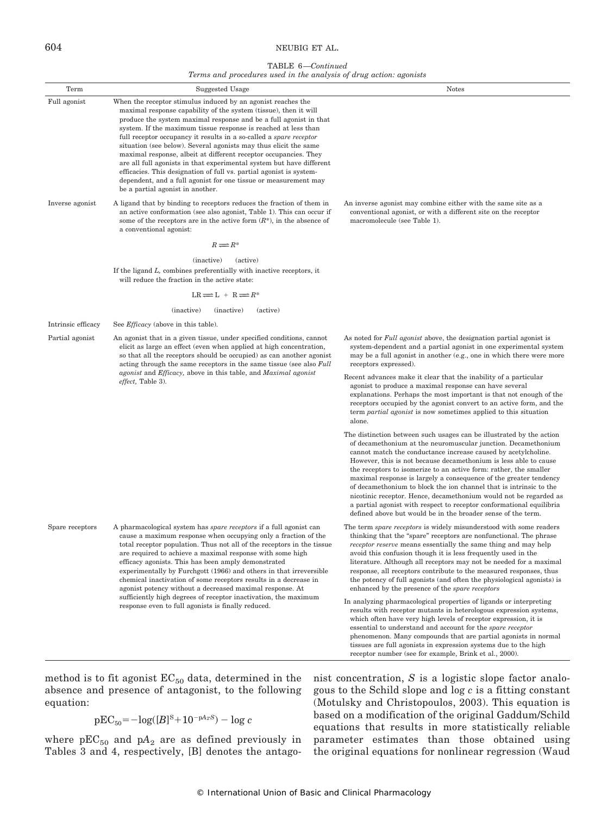#### TABLE 6—*Continued*

*Terms and procedures used in the analysis of drug action: agonists*

| Term               | Suggested Usage                                                                                                                                                                                                                                                                                                                                                                                                                                                                                                                                                                                                                                                                                                                             | <b>Notes</b>                                                                                                                                                                                                                                                                                                                                                                                                                                                                                                                                                                                                                                                                                             |
|--------------------|---------------------------------------------------------------------------------------------------------------------------------------------------------------------------------------------------------------------------------------------------------------------------------------------------------------------------------------------------------------------------------------------------------------------------------------------------------------------------------------------------------------------------------------------------------------------------------------------------------------------------------------------------------------------------------------------------------------------------------------------|----------------------------------------------------------------------------------------------------------------------------------------------------------------------------------------------------------------------------------------------------------------------------------------------------------------------------------------------------------------------------------------------------------------------------------------------------------------------------------------------------------------------------------------------------------------------------------------------------------------------------------------------------------------------------------------------------------|
| Full agonist       | When the receptor stimulus induced by an agonist reaches the<br>maximal response capability of the system (tissue), then it will<br>produce the system maximal response and be a full agonist in that<br>system. If the maximum tissue response is reached at less than<br>full receptor occupancy it results in a so-called a spare receptor<br>situation (see below). Several agonists may thus elicit the same<br>maximal response, albeit at different receptor occupancies. They<br>are all full agonists in that experimental system but have different<br>efficacies. This designation of full vs. partial agonist is system-<br>dependent, and a full agonist for one tissue or measurement may<br>be a partial agonist in another. |                                                                                                                                                                                                                                                                                                                                                                                                                                                                                                                                                                                                                                                                                                          |
| Inverse agonist    | A ligand that by binding to receptors reduces the fraction of them in<br>an active conformation (see also agonist, Table 1). This can occur if<br>some of the receptors are in the active form $(R^*)$ , in the absence of<br>a conventional agonist:                                                                                                                                                                                                                                                                                                                                                                                                                                                                                       | An inverse agonist may combine either with the same site as a<br>conventional agonist, or with a different site on the receptor<br>macromolecule (see Table 1).                                                                                                                                                                                                                                                                                                                                                                                                                                                                                                                                          |
|                    | $R \rightleftharpoons R^*$                                                                                                                                                                                                                                                                                                                                                                                                                                                                                                                                                                                                                                                                                                                  |                                                                                                                                                                                                                                                                                                                                                                                                                                                                                                                                                                                                                                                                                                          |
|                    | (inactive)<br>(active)                                                                                                                                                                                                                                                                                                                                                                                                                                                                                                                                                                                                                                                                                                                      |                                                                                                                                                                                                                                                                                                                                                                                                                                                                                                                                                                                                                                                                                                          |
|                    | If the ligand L, combines preferentially with inactive receptors, it<br>will reduce the fraction in the active state:                                                                                                                                                                                                                                                                                                                                                                                                                                                                                                                                                                                                                       |                                                                                                                                                                                                                                                                                                                                                                                                                                                                                                                                                                                                                                                                                                          |
|                    | $LR \rightleftharpoons L + R \rightleftharpoons R^*$                                                                                                                                                                                                                                                                                                                                                                                                                                                                                                                                                                                                                                                                                        |                                                                                                                                                                                                                                                                                                                                                                                                                                                                                                                                                                                                                                                                                                          |
|                    | (inactive)<br>(inactive)<br>(active)                                                                                                                                                                                                                                                                                                                                                                                                                                                                                                                                                                                                                                                                                                        |                                                                                                                                                                                                                                                                                                                                                                                                                                                                                                                                                                                                                                                                                                          |
| Intrinsic efficacy | See <i>Efficacy</i> (above in this table).                                                                                                                                                                                                                                                                                                                                                                                                                                                                                                                                                                                                                                                                                                  |                                                                                                                                                                                                                                                                                                                                                                                                                                                                                                                                                                                                                                                                                                          |
| Partial agonist    | An agonist that in a given tissue, under specified conditions, cannot<br>elicit as large an effect (even when applied at high concentration,<br>so that all the receptors should be occupied) as can another agonist<br>acting through the same receptors in the same tissue (see also Full<br>agonist and Efficacy, above in this table, and Maximal agonist<br><i>effect</i> , Table 3).                                                                                                                                                                                                                                                                                                                                                  | As noted for <i>Full agonist</i> above, the designation partial agonist is<br>system-dependent and a partial agonist in one experimental system<br>may be a full agonist in another (e.g., one in which there were more<br>receptors expressed).<br>Recent advances make it clear that the inability of a particular<br>agonist to produce a maximal response can have several<br>explanations. Perhaps the most important is that not enough of the<br>receptors occupied by the agonist convert to an active form, and the<br>term <i>partial agonist</i> is now sometimes applied to this situation<br>alone.                                                                                         |
|                    |                                                                                                                                                                                                                                                                                                                                                                                                                                                                                                                                                                                                                                                                                                                                             | The distinction between such usages can be illustrated by the action<br>of decamethonium at the neuromuscular junction. Decamethonium<br>cannot match the conductance increase caused by acetylcholine.<br>However, this is not because decamethonium is less able to cause<br>the receptors to isomerize to an active form: rather, the smaller<br>maximal response is largely a consequence of the greater tendency<br>of decamethonium to block the ion channel that is intrinsic to the<br>nicotinic receptor. Hence, decamethonium would not be regarded as<br>a partial agonist with respect to receptor conformational equilibria<br>defined above but would be in the broader sense of the term. |
| Spare receptors    | A pharmacological system has spare receptors if a full agonist can<br>cause a maximum response when occupying only a fraction of the<br>total receptor population. Thus not all of the receptors in the tissue<br>are required to achieve a maximal response with some high<br>efficacy agonists. This has been amply demonstrated<br>experimentally by Furchgott (1966) and others in that irreversible<br>chemical inactivation of some receptors results in a decrease in<br>agonist potency without a decreased maximal response. At<br>sufficiently high degrees of receptor inactivation, the maximum<br>response even to full agonists is finally reduced.                                                                           | The term <i>spare receptors</i> is widely misunderstood with some readers<br>thinking that the "spare" receptors are nonfunctional. The phrase<br><i>receptor reserve</i> means essentially the same thing and may help<br>avoid this confusion though it is less frequently used in the<br>literature. Although all receptors may not be needed for a maximal<br>response, all receptors contribute to the measured responses, thus<br>the potency of full agonists (and often the physiological agonists) is<br>enhanced by the presence of the <i>spare receptors</i><br>In analyzing pharmacological properties of ligands or interpreting                                                           |
|                    |                                                                                                                                                                                                                                                                                                                                                                                                                                                                                                                                                                                                                                                                                                                                             | results with receptor mutants in heterologous expression systems,<br>which often have very high levels of receptor expression, it is<br>essential to understand and account for the spare receptor<br>phenomenon. Many compounds that are partial agonists in normal<br>tissues are full agonists in expression systems due to the high<br>receptor number (see for example, Brink et al., 2000).                                                                                                                                                                                                                                                                                                        |

method is to fit agonist  $EC_{50}$  data, determined in the absence and presence of antagonist, to the following equation:

$$
pEC_{50} = -\log([B]^S + 10^{-pA_2S}) - \log c
$$

where  $pEC_{50}$  and  $pA_2$  are as defined previously in Tables 3 and 4, respectively, [B] denotes the antagonist concentration, *S* is a logistic slope factor analogous to the Schild slope and log *c* is a fitting constant (Motulsky and Christopoulos, 2003). This equation is based on a modification of the original Gaddum/Schild equations that results in more statistically reliable parameter estimates than those obtained using the original equations for nonlinear regression (Waud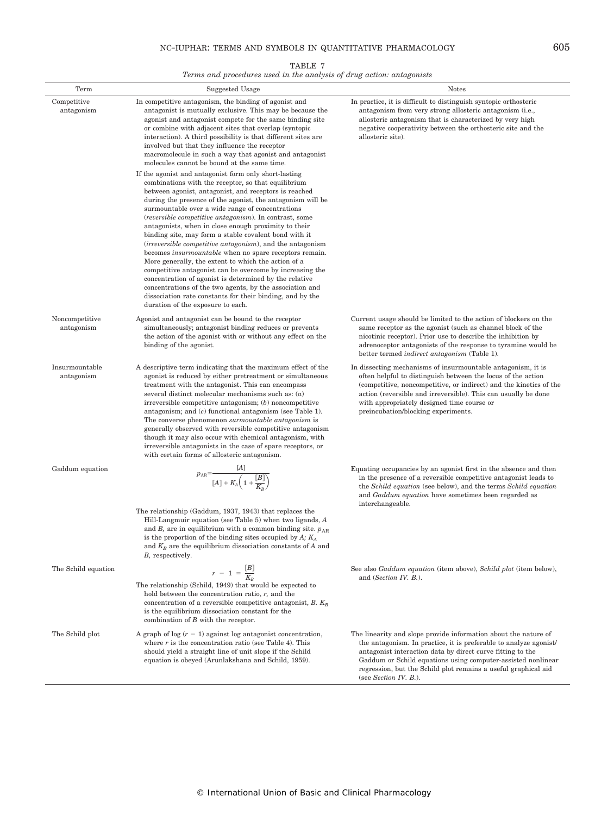# NC-IUPHAR: TERMS AND SYMBOLS IN QUANTITATIVE PHARMACOLOGY 605

#### TABLE 7

*Terms and procedures used in the analysis of drug action: antagonists*

| Term                         | <b>Suggested Usage</b>                                                                                                                                                                                                                                                                                                                                                                                                                                                                                                                                                                                                                                                                                                                                                                                                                                                                                                                                                                                                                                                                                                                                                                     | <b>Notes</b>                                                                                                                                                                                                                                                                                                                                                     |
|------------------------------|--------------------------------------------------------------------------------------------------------------------------------------------------------------------------------------------------------------------------------------------------------------------------------------------------------------------------------------------------------------------------------------------------------------------------------------------------------------------------------------------------------------------------------------------------------------------------------------------------------------------------------------------------------------------------------------------------------------------------------------------------------------------------------------------------------------------------------------------------------------------------------------------------------------------------------------------------------------------------------------------------------------------------------------------------------------------------------------------------------------------------------------------------------------------------------------------|------------------------------------------------------------------------------------------------------------------------------------------------------------------------------------------------------------------------------------------------------------------------------------------------------------------------------------------------------------------|
| Competitive<br>antagonism    | In competitive antagonism, the binding of agonist and<br>antagonist is mutually exclusive. This may be because the<br>agonist and antagonist compete for the same binding site<br>or combine with adjacent sites that overlap (syntopic<br>interaction). A third possibility is that different sites are<br>involved but that they influence the receptor<br>macromolecule in such a way that agonist and antagonist<br>molecules cannot be bound at the same time.<br>If the agonist and antagonist form only short-lasting<br>combinations with the receptor, so that equilibrium<br>between agonist, antagonist, and receptors is reached<br>during the presence of the agonist, the antagonism will be<br>surmountable over a wide range of concentrations<br>(reversible competitive antagonism). In contrast, some<br>antagonists, when in close enough proximity to their<br>binding site, may form a stable covalent bond with it<br>(irreversible competitive antagonism), and the antagonism<br>becomes <i>insurmountable</i> when no spare receptors remain.<br>More generally, the extent to which the action of a<br>competitive antagonist can be overcome by increasing the | In practice, it is difficult to distinguish syntopic orthosteric<br>antagonism from very strong allosteric antagonism (i.e.,<br>allosteric antagonism that is characterized by very high<br>negative cooperativity between the orthosteric site and the<br>allosteric site).                                                                                     |
|                              | concentration of agonist is determined by the relative<br>concentrations of the two agents, by the association and<br>dissociation rate constants for their binding, and by the<br>duration of the exposure to each.                                                                                                                                                                                                                                                                                                                                                                                                                                                                                                                                                                                                                                                                                                                                                                                                                                                                                                                                                                       |                                                                                                                                                                                                                                                                                                                                                                  |
| Noncompetitive<br>antagonism | Agonist and antagonist can be bound to the receptor<br>simultaneously; antagonist binding reduces or prevents<br>the action of the agonist with or without any effect on the<br>binding of the agonist.                                                                                                                                                                                                                                                                                                                                                                                                                                                                                                                                                                                                                                                                                                                                                                                                                                                                                                                                                                                    | Current usage should be limited to the action of blockers on the<br>same receptor as the agonist (such as channel block of the<br>nicotinic receptor). Prior use to describe the inhibition by<br>adrenoceptor antagonists of the response to tyramine would be<br>better termed <i>indirect antagonism</i> (Table 1).                                           |
| Insurmountable<br>antagonism | A descriptive term indicating that the maximum effect of the<br>agonist is reduced by either pretreatment or simultaneous<br>treatment with the antagonist. This can encompass<br>several distinct molecular mechanisms such as: $(a)$<br>irreversible competitive antagonism; $(b)$ noncompetitive<br>antagonism; and $(c)$ functional antagonism (see Table 1).<br>The converse phenomenon surmountable antagonism is<br>generally observed with reversible competitive antagonism<br>though it may also occur with chemical antagonism, with<br>irreversible antagonists in the case of spare receptors, or<br>with certain forms of allosteric antagonism.                                                                                                                                                                                                                                                                                                                                                                                                                                                                                                                             | In dissecting mechanisms of insurmountable antagonism, it is<br>often helpful to distinguish between the locus of the action<br>(competitive, noncompetitive, or indirect) and the kinetics of the<br>action (reversible and irreversible). This can usually be done<br>with appropriately designed time course or<br>preincubation/blocking experiments.        |
| Gaddum equation              | $p_{\text{AR}} = \frac{[A]}{[A] + K_A \left(1 + \frac{[B]}{K_R}\right)}$<br>The relationship (Gaddum, 1937, 1943) that replaces the<br>Hill-Langmuir equation (see Table 5) when two ligands, A<br>and B, are in equilibrium with a common binding site. $p_{AR}$<br>is the proportion of the binding sites occupied by A; $K_{\!A}$<br>and $K_B$ are the equilibrium dissociation constants of A and<br>B, respectively.                                                                                                                                                                                                                                                                                                                                                                                                                                                                                                                                                                                                                                                                                                                                                                  | Equating occupancies by an agonist first in the absence and then<br>in the presence of a reversible competitive antagonist leads to<br>the Schild equation (see below), and the terms Schild equation<br>and <i>Gaddum equation</i> have sometimes been regarded as<br>interchangeable.                                                                          |
| The Schild equation          | $r - 1 = \frac{[B]}{K_B}$<br>The relationship (Schild, 1949) that would be expected to<br>hold between the concentration ratio, $r$ , and the<br>concentration of a reversible competitive antagonist, $B$ . $K_R$<br>is the equilibrium dissociation constant for the<br>combination of $B$ with the receptor.                                                                                                                                                                                                                                                                                                                                                                                                                                                                                                                                                                                                                                                                                                                                                                                                                                                                            | See also Gaddum equation (item above), Schild plot (item below),<br>and (Section IV. B.).                                                                                                                                                                                                                                                                        |
| The Schild plot              | A graph of $log(r - 1)$ against $log$ antagonist concentration,<br>where $r$ is the concentration ratio (see Table 4). This<br>should yield a straight line of unit slope if the Schild<br>equation is obeyed (Arunlakshana and Schild, 1959).                                                                                                                                                                                                                                                                                                                                                                                                                                                                                                                                                                                                                                                                                                                                                                                                                                                                                                                                             | The linearity and slope provide information about the nature of<br>the antagonism. In practice, it is preferable to analyze agonist/<br>antagonist interaction data by direct curve fitting to the<br>Gaddum or Schild equations using computer-assisted nonlinear<br>regression, but the Schild plot remains a useful graphical aid<br>(see Section IV. $B$ .). |